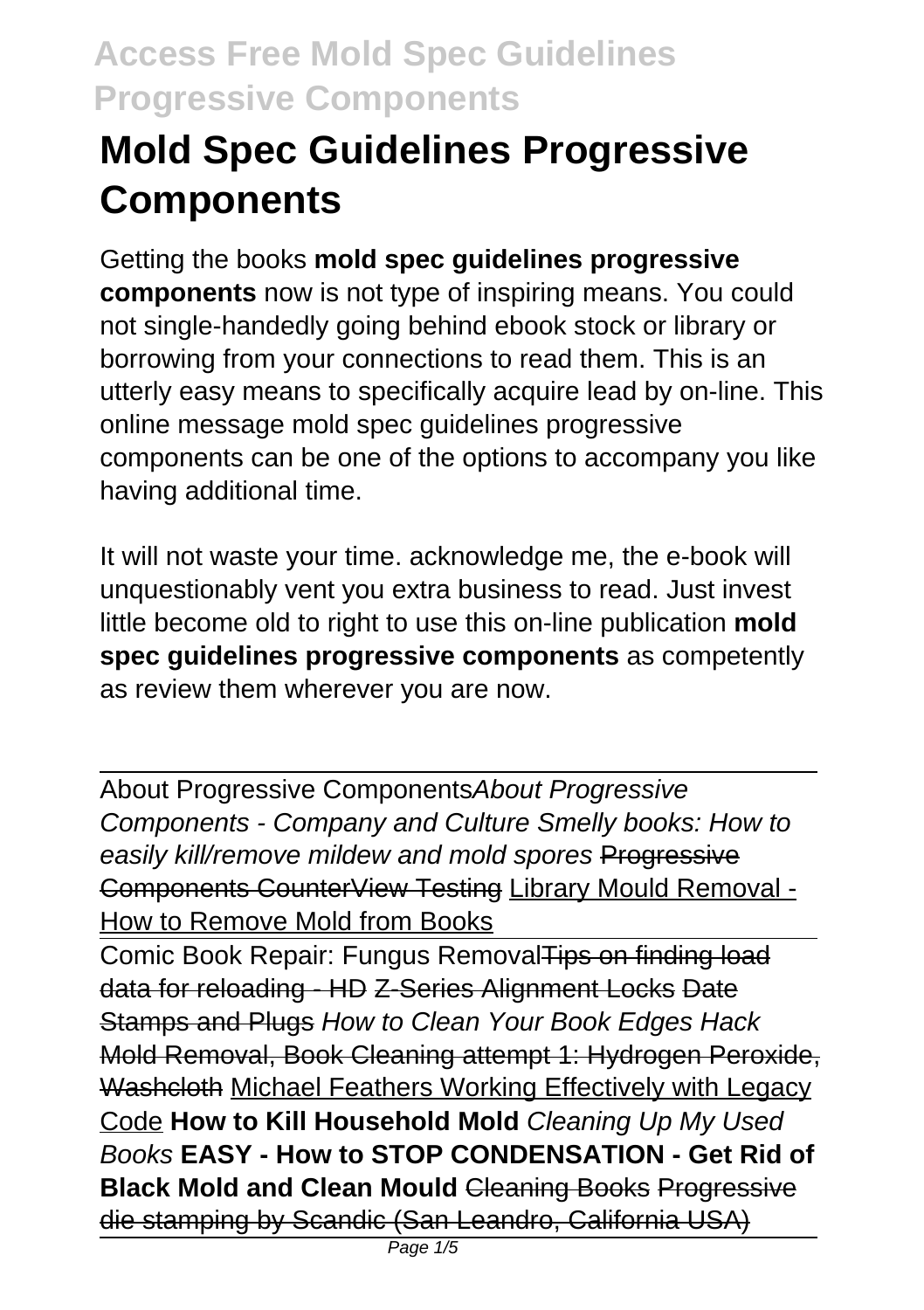# **Mold Spec Guidelines Progressive Components**

Getting the books **mold spec guidelines progressive components** now is not type of inspiring means. You could not single-handedly going behind ebook stock or library or borrowing from your connections to read them. This is an utterly easy means to specifically acquire lead by on-line. This online message mold spec guidelines progressive components can be one of the options to accompany you like having additional time.

It will not waste your time. acknowledge me, the e-book will unquestionably vent you extra business to read. Just invest little become old to right to use this on-line publication **mold spec guidelines progressive components** as competently as review them wherever you are now.

About Progressive ComponentsAbout Progressive Components - Company and Culture Smelly books: How to easily kill/remove mildew and mold spores Progressive Components CounterView Testing Library Mould Removal - How to Remove Mold from Books

Comic Book Repair: Fungus RemovalTips on finding load data for reloading - HD Z-Series Alignment Locks Date Stamps and Plugs How to Clean Your Book Edges Hack Mold Removal, Book Cleaning attempt 1: Hydrogen Peroxide, Washcloth Michael Feathers Working Effectively with Legacy Code **How to Kill Household Mold** Cleaning Up My Used Books **EASY - How to STOP CONDENSATION - Get Rid of Black Mold and Clean Mould Cleaning Books Progressive** die stamping by Scandic (San Leandro, California USA)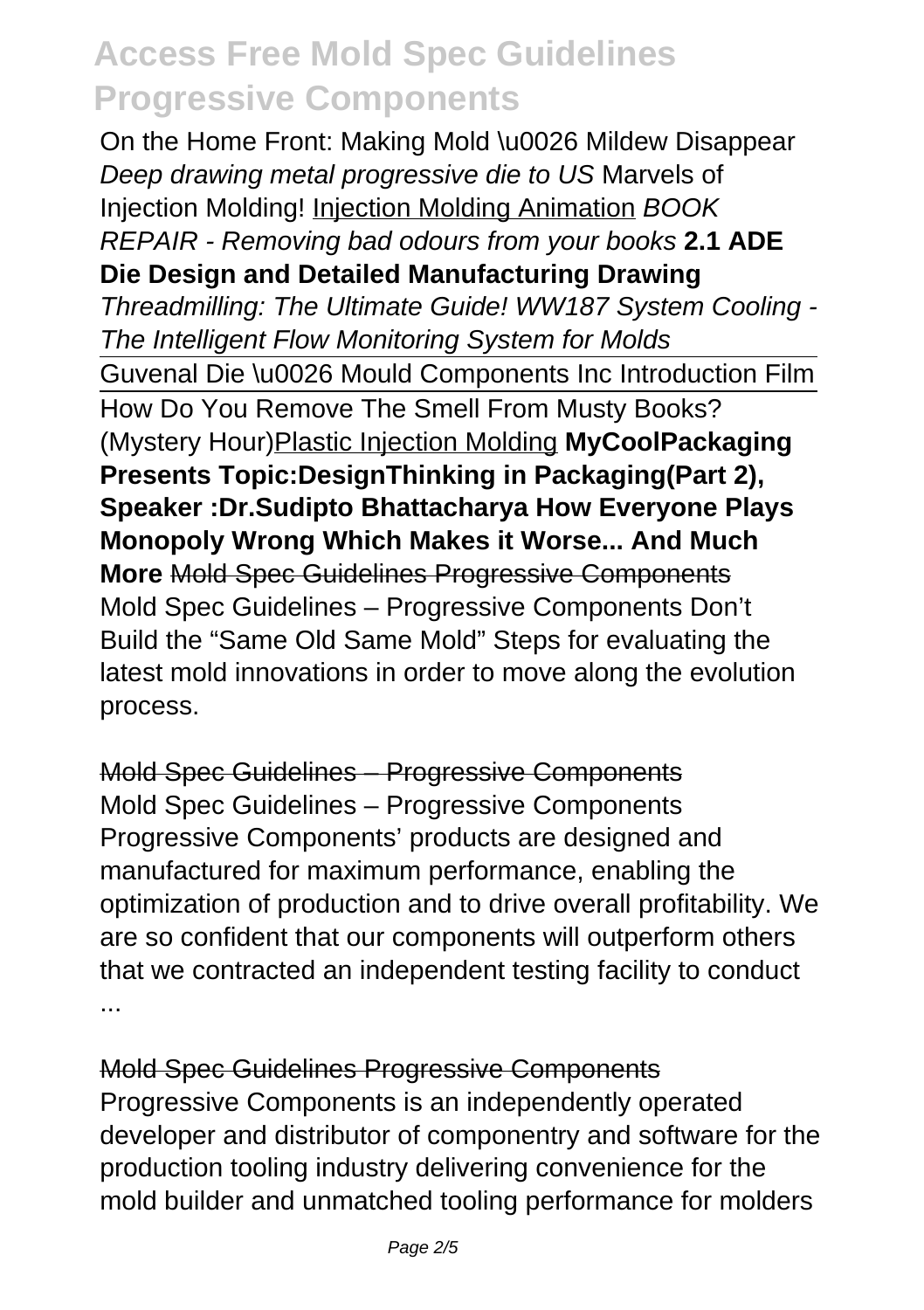On the Home Front: Making Mold \u0026 Mildew Disappear Deep drawing metal progressive die to US Marvels of Injection Molding! Injection Molding Animation BOOK REPAIR - Removing bad odours from your books **2.1 ADE Die Design and Detailed Manufacturing Drawing** Threadmilling: The Ultimate Guide! WW187 System Cooling - The Intelligent Flow Monitoring System for Molds Guvenal Die \u0026 Mould Components Inc Introduction Film How Do You Remove The Smell From Musty Books? (Mystery Hour)Plastic Injection Molding **MyCoolPackaging Presents Topic:DesignThinking in Packaging(Part 2), Speaker :Dr.Sudipto Bhattacharya How Everyone Plays Monopoly Wrong Which Makes it Worse... And Much More** Mold Spec Guidelines Progressive Components Mold Spec Guidelines – Progressive Components Don't Build the "Same Old Same Mold" Steps for evaluating the latest mold innovations in order to move along the evolution process.

Mold Spec Guidelines – Progressive Components

Mold Spec Guidelines – Progressive Components Progressive Components' products are designed and manufactured for maximum performance, enabling the optimization of production and to drive overall profitability. We are so confident that our components will outperform others that we contracted an independent testing facility to conduct ...

Mold Spec Guidelines Progressive Components Progressive Components is an independently operated developer and distributor of componentry and software for the production tooling industry delivering convenience for the mold builder and unmatched tooling performance for molders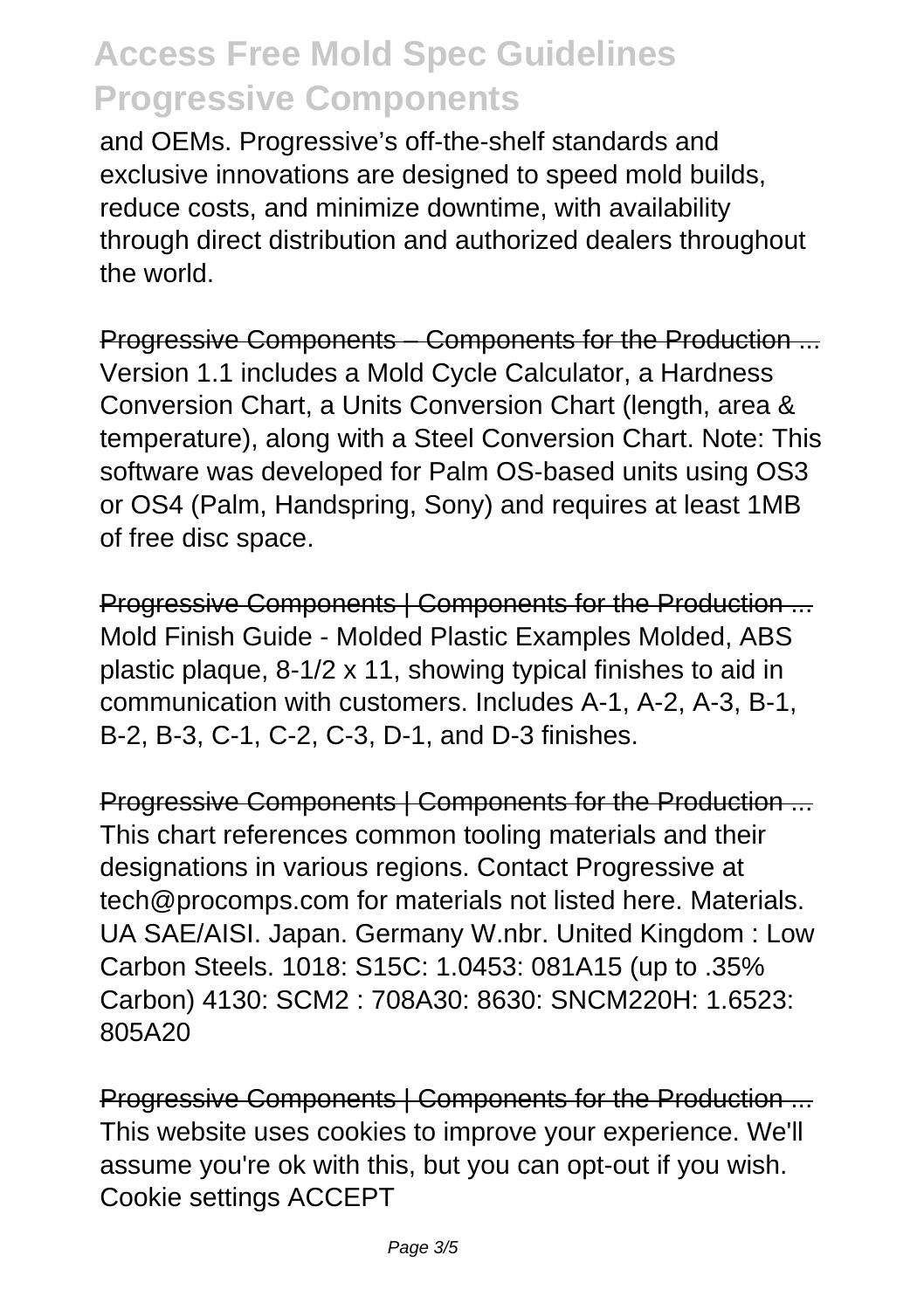and OEMs. Progressive's off-the-shelf standards and exclusive innovations are designed to speed mold builds. reduce costs, and minimize downtime, with availability through direct distribution and authorized dealers throughout the world.

Progressive Components – Components for the Production ... Version 1.1 includes a Mold Cycle Calculator, a Hardness Conversion Chart, a Units Conversion Chart (length, area & temperature), along with a Steel Conversion Chart. Note: This software was developed for Palm OS-based units using OS3 or OS4 (Palm, Handspring, Sony) and requires at least 1MB of free disc space.

Progressive Components | Components for the Production ... Mold Finish Guide - Molded Plastic Examples Molded, ABS plastic plaque, 8-1/2 x 11, showing typical finishes to aid in communication with customers. Includes A-1, A-2, A-3, B-1, B-2, B-3, C-1, C-2, C-3, D-1, and D-3 finishes.

Progressive Components | Components for the Production ... This chart references common tooling materials and their designations in various regions. Contact Progressive at tech@procomps.com for materials not listed here. Materials. UA SAE/AISI. Japan. Germany W.nbr. United Kingdom : Low Carbon Steels. 1018: S15C: 1.0453: 081A15 (up to .35% Carbon) 4130: SCM2 : 708A30: 8630: SNCM220H: 1.6523: 805A20

Progressive Components | Components for the Production ... This website uses cookies to improve your experience. We'll assume you're ok with this, but you can opt-out if you wish. Cookie settings ACCEPT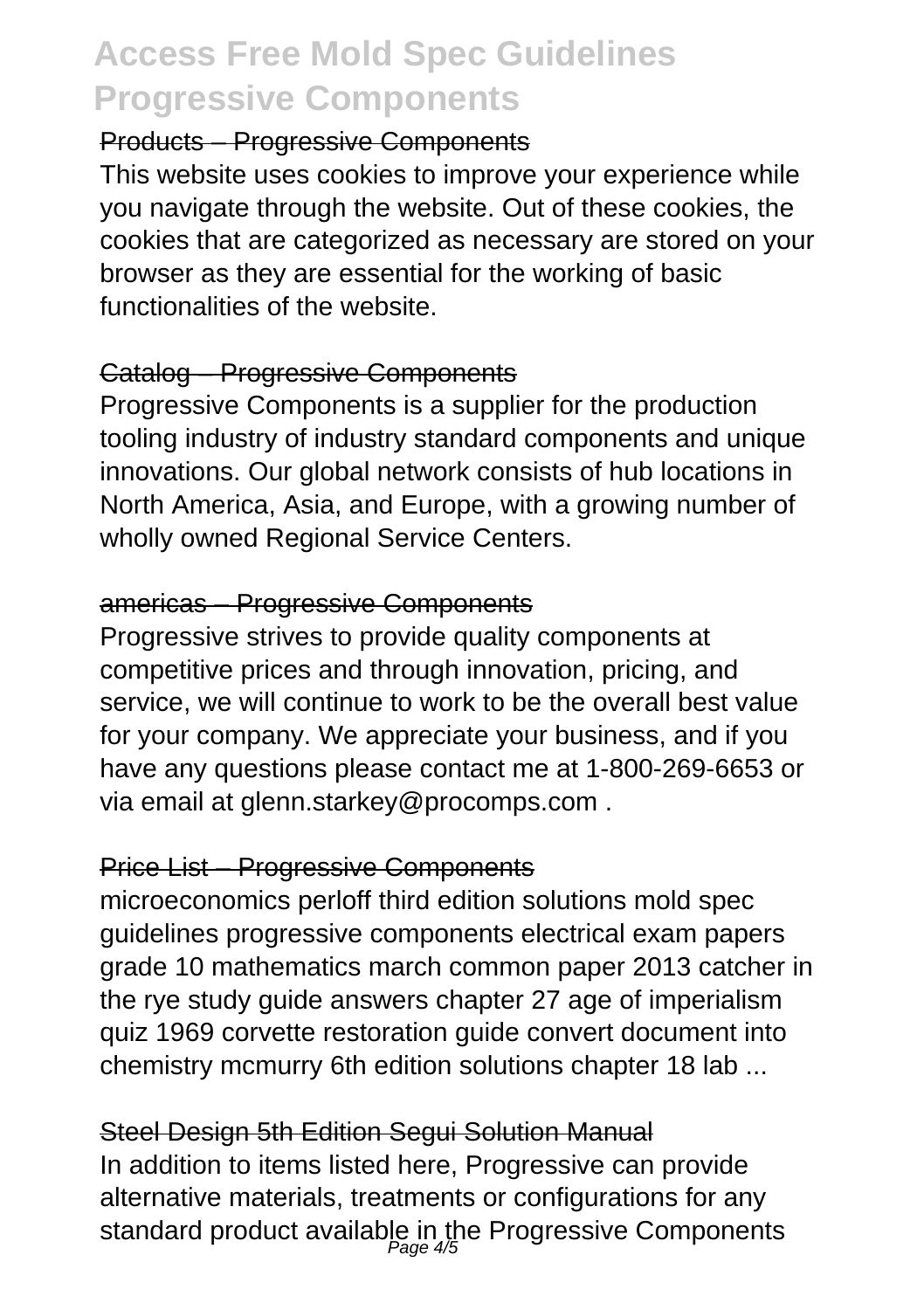### Products – Progressive Components

This website uses cookies to improve your experience while you navigate through the website. Out of these cookies, the cookies that are categorized as necessary are stored on your browser as they are essential for the working of basic functionalities of the website.

#### Catalog – Progressive Components

Progressive Components is a supplier for the production tooling industry of industry standard components and unique innovations. Our global network consists of hub locations in North America, Asia, and Europe, with a growing number of wholly owned Regional Service Centers.

### americas – Progressive Components

Progressive strives to provide quality components at competitive prices and through innovation, pricing, and service, we will continue to work to be the overall best value for your company. We appreciate your business, and if you have any questions please contact me at 1-800-269-6653 or via email at glenn.starkey@procomps.com .

### Price List – Progressive Components

microeconomics perloff third edition solutions mold spec guidelines progressive components electrical exam papers grade 10 mathematics march common paper 2013 catcher in the rye study guide answers chapter 27 age of imperialism quiz 1969 corvette restoration guide convert document into chemistry mcmurry 6th edition solutions chapter 18 lab ...

### Steel Design 5th Edition Segui Solution Manual

In addition to items listed here, Progressive can provide alternative materials, treatments or configurations for any standard product available in the Progressive Components